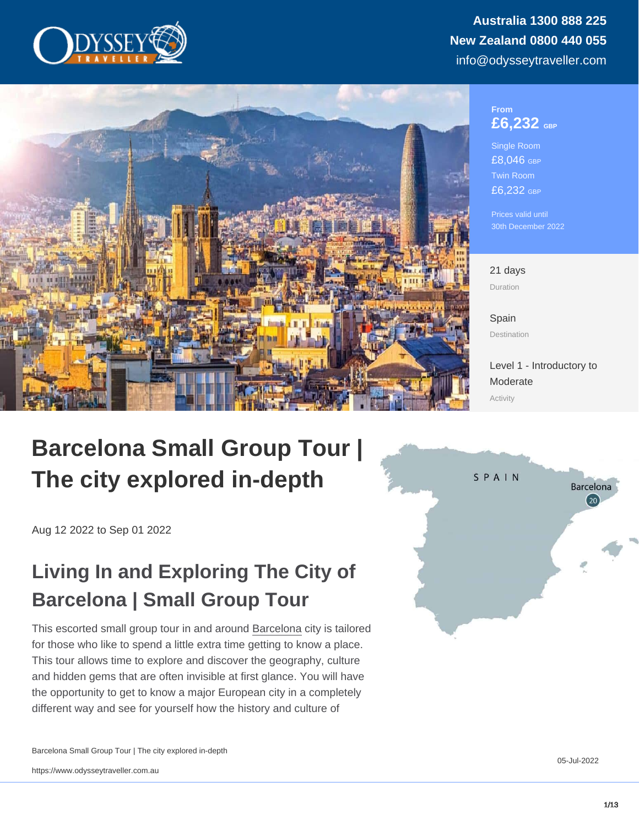#### From £6,232 GBP

Single Room £8,046 GBP Twin Room £6,232 GBP

Prices valid until 30th December 2022

21 days Duration

[Spain](https://www.odysseytraveller.com/destinations/europe/spain/) Destination

[Level 1 - Introductory to](/tour-category/activity-levels/) [Moderate](/tour-category/activity-levels/) Activity

# Barcelona Small Group Tour | The city explored in-depth

Aug 12 2022 to Sep 01 2022

# Living In and Exploring The City of Barcelona | Small Group Tour

This escorted small group tour in and around [Barcelona](https://www.odysseytraveller.com/articles/barcelona-travel-notes/) city is tailored for those who like to spend a little extra time getting to know a place. This tour allows time to explore and discover the geography, culture and hidden gems that are often invisible at first glance. You will have the opportunity to get to know a major European city in a completely different way and see for yourself how the history and culture of

Barcelona Small Group Tour | The city explored in-depth

05-Jul-2022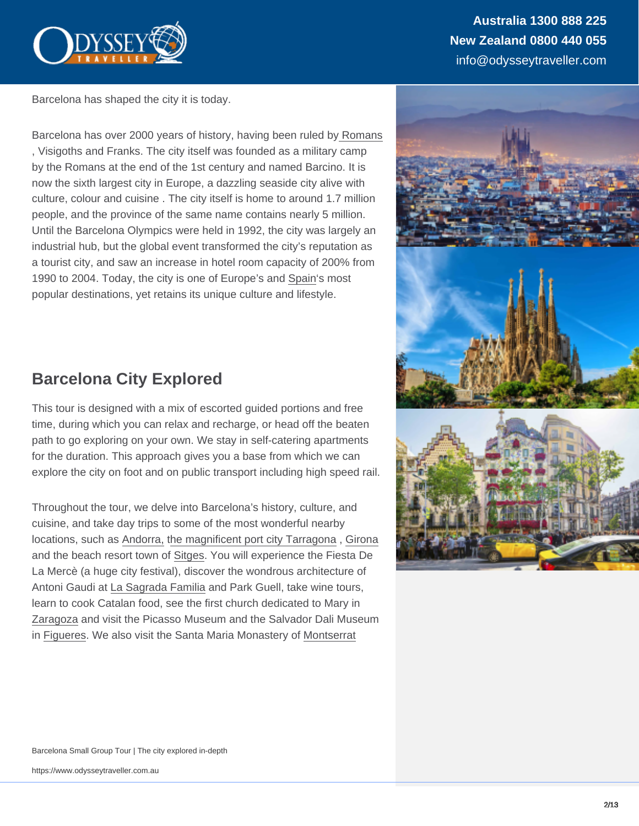Barcelona has shaped the city it is today.

Barcelona has over 2000 years of history, having been ruled by [Romans](https://www.odysseytraveller.com/articles/the-roman-empire/) , Visigoths and Franks. The city itself was founded as a military camp by the Romans at the end of the 1st century and named Barcino. It is now the sixth largest city in Europe, a dazzling seaside city alive with culture, colour and cuisine . The city itself is home to around 1.7 million people, and the province of the same name contains nearly 5 million. Until the Barcelona Olympics were held in 1992, the city was largely an industrial hub, but the global event transformed the city's reputation as a tourist city, and saw an increase in hotel room capacity of 200% from 1990 to 2004. Today, the city is one of Europe's and [Spain](https://www.odysseytraveller.com/articles/questions-about-spain-definitive-guide-for-travellers/)'s most popular destinations, yet retains its unique culture and lifestyle.

## Barcelona City Explored

This tour is designed with a mix of escorted guided portions and free time, during which you can relax and recharge, or head off the beaten path to go exploring on your own. We stay in self-catering apartments for the duration. This approach gives you a base from which we can explore the city on foot and on public transport including high speed rail.

Throughout the tour, we delve into Barcelona's history, culture, and cuisine, and take day trips to some of the most wonderful nearby locations, such as [Andorra,](https://www.odysseytraveller.com/articles/andorra/) [the magnificent port city Tarragona](https://www.odysseytraveller.com/articles/tarragona-spain/) , [Girona](https://www.odysseytraveller.com/articles/girona-spain/) and the beach resort town of [Sitges.](https://www.odysseytraveller.com/articles/sitges-spain/) You will experience the Fiesta De La Mercè (a huge city festival), discover the wondrous architecture of Antoni Gaudi at [La Sagrada Familia](https://www.odysseytraveller.com/articles/the-sagrada-familia-spain/) and Park Guell, take wine tours, learn to cook Catalan food, see the first church dedicated to Mary in [Zaragoza](https://www.odysseytraveller.com/articles/zaragoza-spain/) and visit the Picasso Museum and the Salvador Dali Museum in [Figueres.](https://www.odysseytraveller.com/articles/figueres-spain/) We also visit the Santa Maria Monastery of [Montserrat](https://www.odysseytraveller.com/articles/montserrat-spain/)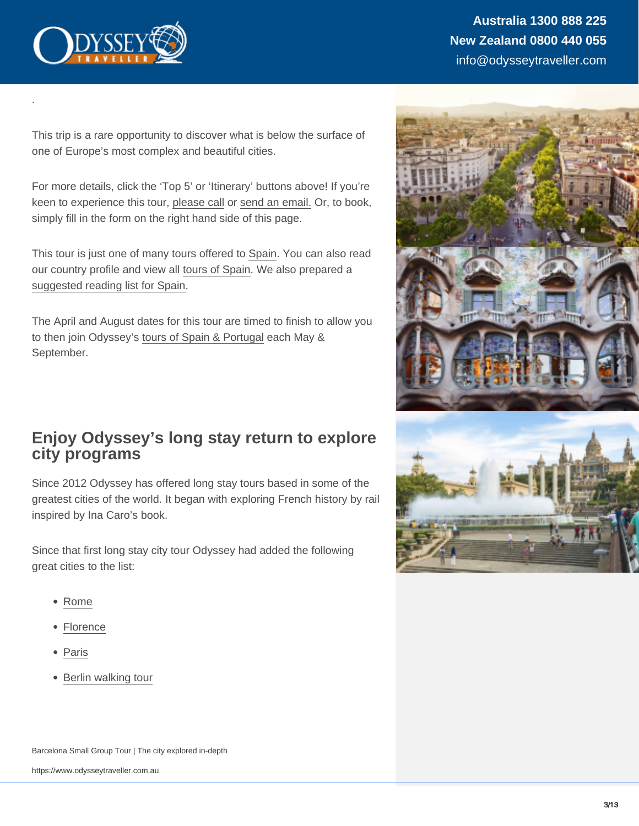This trip is a rare opportunity to discover what is below the surface of one of Europe's most complex and beautiful cities.

For more details, click the 'Top 5' or 'Itinerary' buttons above! If you're keen to experience this tour, [please call](https://www.odysseytraveller.com/contact-us/) or [send an email.](mailto:info@odysseytravel.com.au) Or, to book, simply fill in the form on the right hand side of this page.

This tour is just one of many tours offered to [Spain](https://www.odysseytraveller.com/articles/questions-about-spain-definitive-guide-for-travellers/). You can also read our country profile and view all [tours of Spain](https://www.odysseytraveller.com/destinations/europe/spain/). We also prepared a [suggested reading list for Spain.](https://www.odysseytraveller.com/articles/books-to-read-on-a-trip-to-spain/)

The April and August dates for this tour are timed to finish to allow you to then join Odyssey's [tours of Spain & Portugal](https://www.odysseytraveller.com/tours-small-groups/small-group-tours-of-spain-and-portugal/) each May & September.

### Enjoy Odyssey's long stay return to explore city programs

Since 2012 Odyssey has offered long stay tours based in some of the greatest cities of the world. It began with exploring French history by rail inspired by Ina Caro's book.

Since that first long stay city tour Odyssey had added the following great cities to the list:

• [Rome](https://www.odysseytraveller.com/tours-small-groups/rome-small-group-culture-and-history-tour-winter/)

.

- [Florence](https://www.odysseytraveller.com/tours-small-groups/florence-small-group-tour/)
- [Paris](https://www.odysseytraveller.com/tours-small-groups/exploring-paris-extended-tour/)
- [Berlin walking tour](https://www.odysseytraveller.com/tours-small-groups/berlin-walking-small-group-tour/)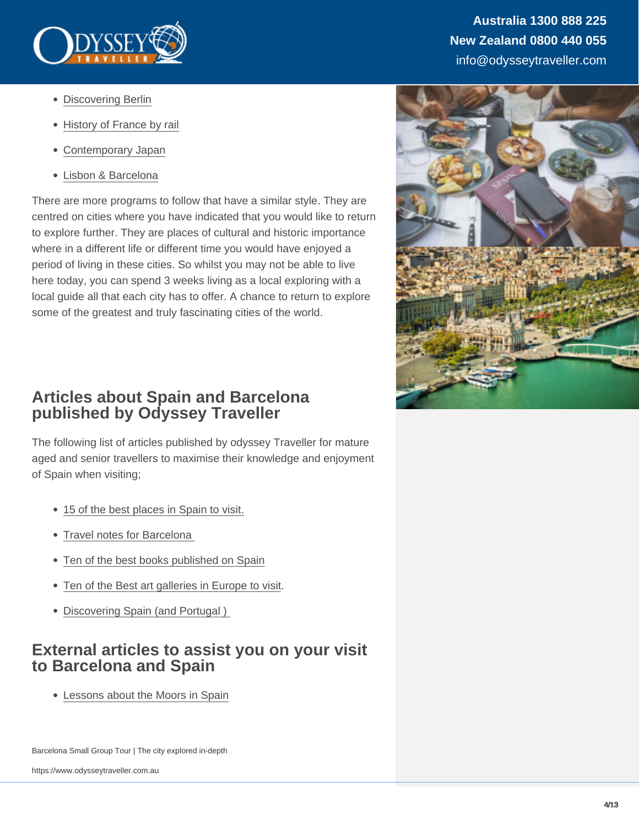- [Discovering Berlin](https://www.odysseytraveller.com/tours-small-groups/small-group-tour-berlin/)
- [History of France by rail](https://www.odysseytraveller.com/tours-small-groups/history-of-france-by-rail-escorted-european-small-group-tour/)
- [Contemporary Japan](https://www.odysseytraveller.com/tours-small-groups/contemporary-japan-small-group-tours/)
- [Lisbon & Barcelona](https://www.odysseytraveller.com/tours-small-groups/lisbon-barcelona-small-group-tour/)

There are more programs to follow that have a similar style. They are centred on cities where you have indicated that you would like to return to explore further. They are places of cultural and historic importance where in a different life or different time you would have enjoyed a period of living in these cities. So whilst you may not be able to live here today, you can spend 3 weeks living as a local exploring with a local guide all that each city has to offer. A chance to return to explore some of the greatest and truly fascinating cities of the world.

### Articles about Spain and Barcelona published by Odyssey Traveller

The following list of articles published by odyssey Traveller for mature aged and senior travellers to maximise their knowledge and enjoyment of Spain when visiting;

- [15 of the best places in Spain to visit.](https://www.odysseytraveller.com/articles/best-places-to-visit-in-spain/)
- Travel notes for Barcelona
- [Ten of the best books published on Spain](https://www.odysseytraveller.com/articles/books-to-read-on-a-trip-to-spain/)
- [Ten of the Best art galleries in Europe to visit.](https://www.odysseytraveller.com/articles/touring-culture-ten-best-art-galleries-western-europe/)
- Discovering Spain (and Portugal)

### External articles to assist you on your visit to Barcelona and Spain

[Lessons about the Moors in Spain](https://blackhistorystudies.com/resources/resources/15-facts-on-the-moors-in-spain/)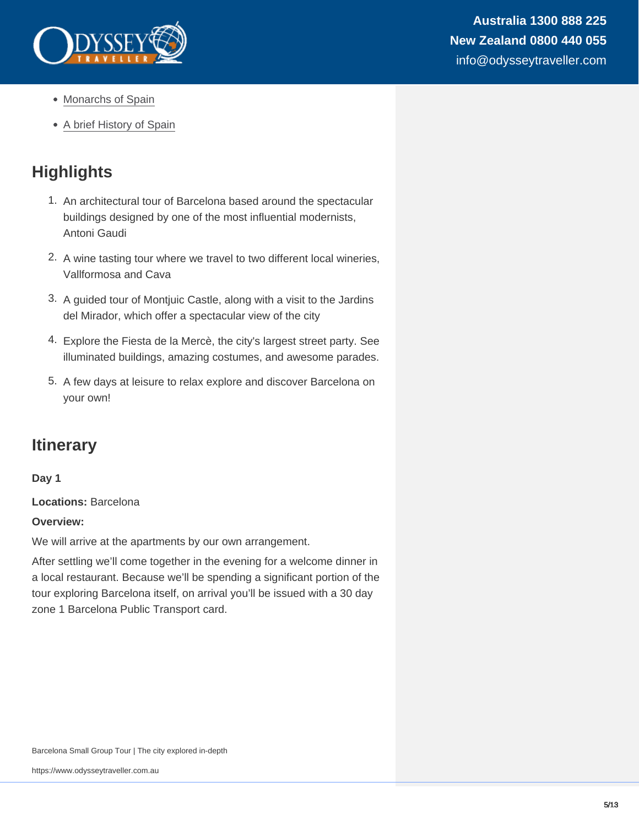- [Monarchs of Spain](https://www.britannica.com/topic/list-of-Spanish-monarchs-2070695)
- [A brief History of Spain](http://www.localhistories.org/spain.html)

# **Highlights**

- 1. An architectural tour of Barcelona based around the spectacular buildings designed by one of the most influential modernists, Antoni Gaudi
- 2. A wine tasting tour where we travel to two different local wineries, Vallformosa and Cava
- 3. A guided tour of Montjuic Castle, along with a visit to the Jardins del Mirador, which offer a spectacular view of the city
- 4. Explore the Fiesta de la Mercè, the city's largest street party. See illuminated buildings, amazing costumes, and awesome parades.
- 5. A few days at leisure to relax explore and discover Barcelona on your own!

## **Itinerary**

Day 1

Locations: Barcelona

Overview:

We will arrive at the apartments by our own arrangement.

After settling we'll come together in the evening for a welcome dinner in a local restaurant. Because we'll be spending a significant portion of the tour exploring Barcelona itself, on arrival you'll be issued with a 30 day zone 1 Barcelona Public Transport card.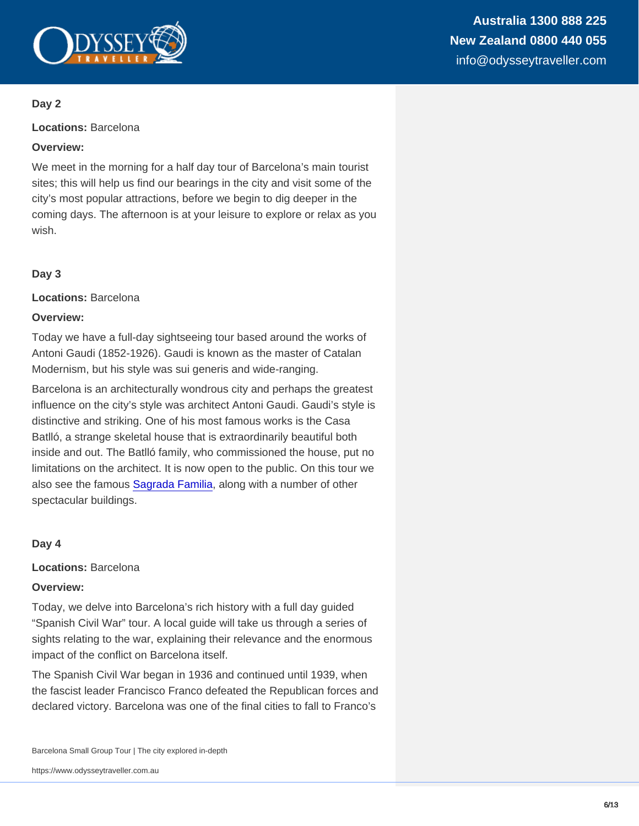Locations: Barcelona

Overview:

We meet in the morning for a half day tour of Barcelona's main tourist sites; this will help us find our bearings in the city and visit some of the city's most popular attractions, before we begin to dig deeper in the coming days. The afternoon is at your leisure to explore or relax as you wish.

Day 3

Locations: Barcelona

Overview:

Today we have a full-day sightseeing tour based around the works of Antoni Gaudi (1852-1926). Gaudi is known as the master of Catalan Modernism, but his style was sui generis and wide-ranging.

Barcelona is an architecturally wondrous city and perhaps the greatest influence on the city's style was architect Antoni Gaudi. Gaudi's style is distinctive and striking. One of his most famous works is the Casa Batlló, a strange skeletal house that is extraordinarily beautiful both inside and out. The Batlló family, who commissioned the house, put no limitations on the architect. It is now open to the public. On this tour we also see the famous [Sagrada Familia,](https://www.odysseytraveller.com/articles/the-sagrada-familia-spain/) along with a number of other spectacular buildings.

Day 4

Locations: Barcelona

Overview:

Today, we delve into Barcelona's rich history with a full day guided "Spanish Civil War" tour. A local guide will take us through a series of sights relating to the war, explaining their relevance and the enormous impact of the conflict on Barcelona itself.

The Spanish Civil War began in 1936 and continued until 1939, when the fascist leader Francisco Franco defeated the Republican forces and declared victory. Barcelona was one of the final cities to fall to Franco's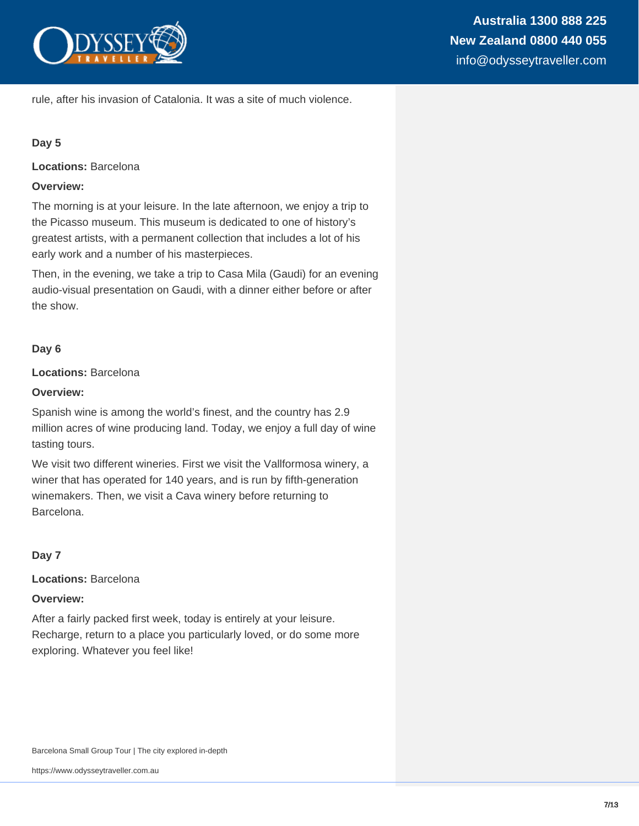

rule, after his invasion of Catalonia. It was a site of much violence.

#### **Day 5**

**Locations:** Barcelona

#### **Overview:**

The morning is at your leisure. In the late afternoon, we enjoy a trip to the Picasso museum. This museum is dedicated to one of history's greatest artists, with a permanent collection that includes a lot of his early work and a number of his masterpieces.

Then, in the evening, we take a trip to Casa Mila (Gaudi) for an evening audio-visual presentation on Gaudi, with a dinner either before or after the show.

#### **Day 6**

**Locations:** Barcelona

#### **Overview:**

Spanish wine is among the world's finest, and the country has 2.9 million acres of wine producing land. Today, we enjoy a full day of wine tasting tours.

We visit two different wineries. First we visit the Vallformosa winery, a winer that has operated for 140 years, and is run by fifth-generation winemakers. Then, we visit a Cava winery before returning to Barcelona.

**Day 7**

**Locations:** Barcelona

#### **Overview:**

After a fairly packed first week, today is entirely at your leisure. Recharge, return to a place you particularly loved, or do some more exploring. Whatever you feel like!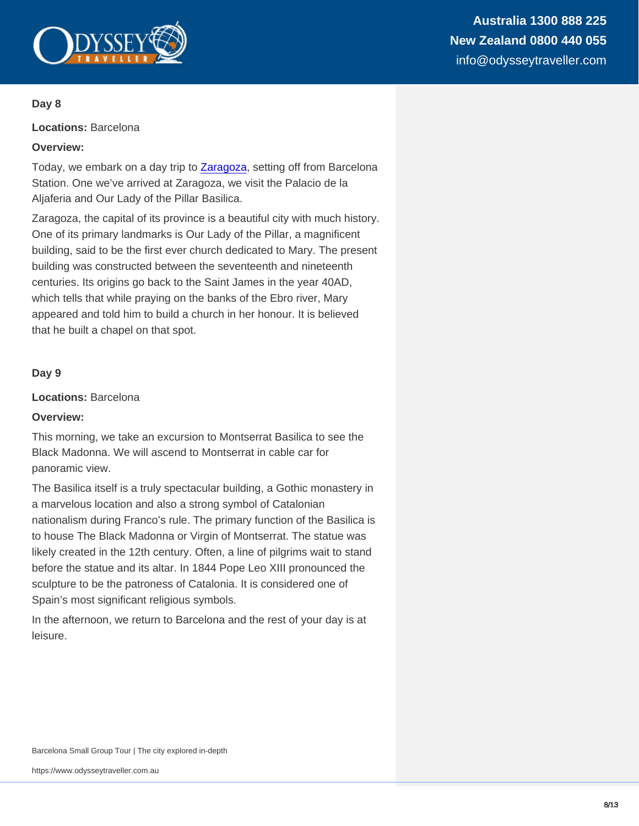Locations: Barcelona

Overview:

Today, we embark on a day trip to [Zaragoza,](https://www.odysseytraveller.com/articles/zaragoza-spain/) setting off from Barcelona Station. One we've arrived at Zaragoza, we visit the Palacio de la Aljaferia and Our Lady of the Pillar Basilica.

Zaragoza, the capital of its province is a beautiful city with much history. One of its primary landmarks is Our Lady of the Pillar, a magnificent building, said to be the first ever church dedicated to Mary. The present building was constructed between the seventeenth and nineteenth centuries. Its origins go back to the Saint James in the year 40AD, which tells that while praying on the banks of the Ebro river, Mary appeared and told him to build a church in her honour. It is believed that he built a chapel on that spot.

Day 9

Locations: Barcelona

Overview:

This morning, we take an excursion to Montserrat Basilica to see the Black Madonna. We will ascend to Montserrat in cable car for panoramic view.

The Basilica itself is a truly spectacular building, a Gothic monastery in a marvelous location and also a strong symbol of Catalonian nationalism during Franco's rule. The primary function of the Basilica is to house The Black Madonna or Virgin of Montserrat. The statue was likely created in the 12th century. Often, a line of pilgrims wait to stand before the statue and its altar. In 1844 Pope Leo XIII pronounced the sculpture to be the patroness of Catalonia. It is considered one of Spain's most significant religious symbols.

In the afternoon, we return to Barcelona and the rest of your day is at leisure.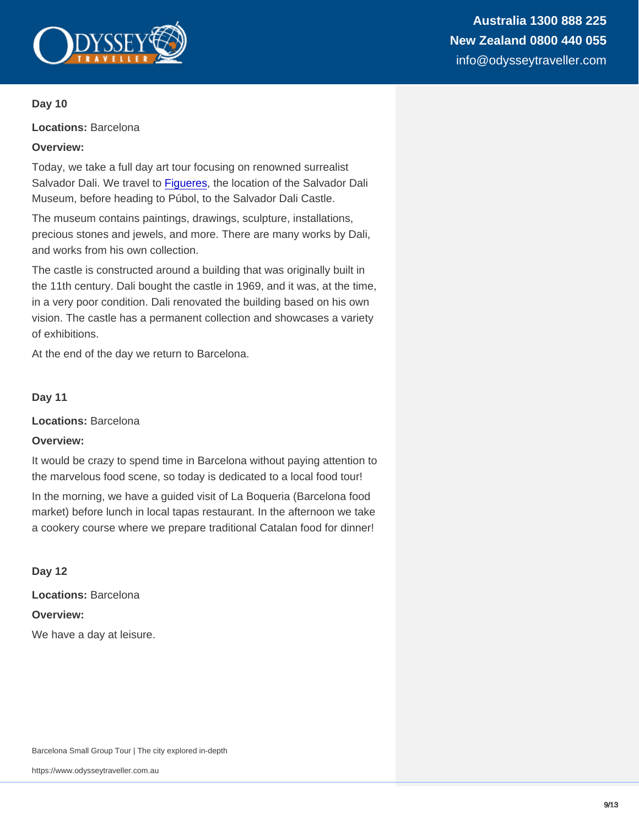Locations: Barcelona

Overview:

Today, we take a full day art tour focusing on renowned surrealist Salvador Dali. We travel to [Figueres,](https://www.odysseytraveller.com/articles/figueres-spain/) the location of the Salvador Dali Museum, before heading to Púbol, to the Salvador Dali Castle.

The museum contains paintings, drawings, sculpture, installations, precious stones and jewels, and more. There are many works by Dali, and works from his own collection.

The castle is constructed around a building that was originally built in the 11th century. Dali bought the castle in 1969, and it was, at the time, in a very poor condition. Dali renovated the building based on his own vision. The castle has a permanent collection and showcases a variety of exhibitions.

At the end of the day we return to Barcelona.

Day 11

Locations: Barcelona

Overview:

It would be crazy to spend time in Barcelona without paying attention to the marvelous food scene, so today is dedicated to a local food tour!

In the morning, we have a guided visit of La Boqueria (Barcelona food market) before lunch in local tapas restaurant. In the afternoon we take a cookery course where we prepare traditional Catalan food for dinner!

Day 12

Locations: Barcelona Overview: We have a day at leisure.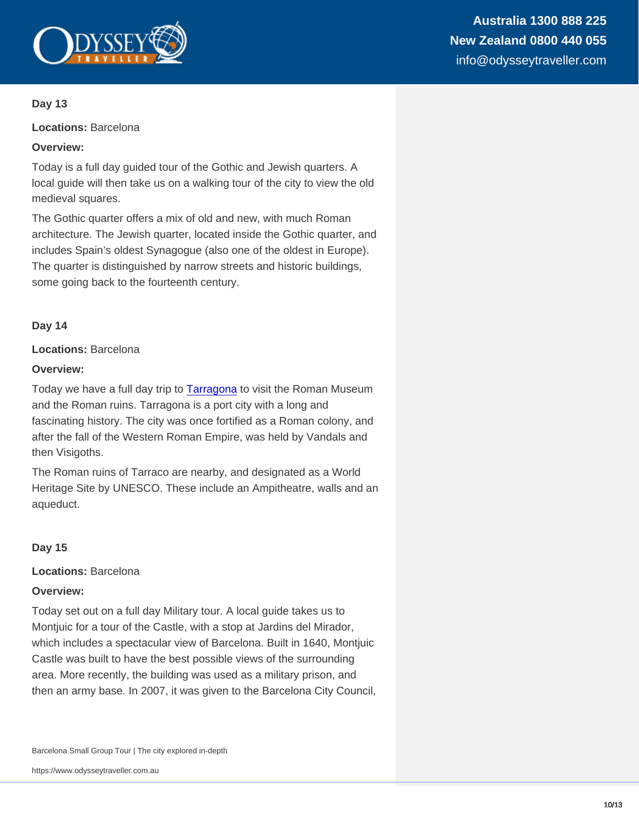Locations: Barcelona

Overview:

Today is a full day guided tour of the Gothic and Jewish quarters. A local guide will then take us on a walking tour of the city to view the old medieval squares.

The Gothic quarter offers a mix of old and new, with much Roman architecture. The Jewish quarter, located inside the Gothic quarter, and includes Spain's oldest Synagogue (also one of the oldest in Europe). The quarter is distinguished by narrow streets and historic buildings, some going back to the fourteenth century.

Day 14

Locations: Barcelona

Overview:

Today we have a full day trip to [Tarragona](https://www.odysseytraveller.com/articles/tarragona-spain/) to visit the Roman Museum and the Roman ruins. Tarragona is a port city with a long and fascinating history. The city was once fortified as a Roman colony, and after the fall of the Western Roman Empire, was held by Vandals and then Visigoths.

The Roman ruins of Tarraco are nearby, and designated as a World Heritage Site by UNESCO. These include an Ampitheatre, walls and an aqueduct.

Day 15

Locations: Barcelona

Overview:

Today set out on a full day Military tour. A local guide takes us to Montjuic for a tour of the Castle, with a stop at Jardins del Mirador, which includes a spectacular view of Barcelona. Built in 1640, Montjuic Castle was built to have the best possible views of the surrounding area. More recently, the building was used as a military prison, and then an army base. In 2007, it was given to the Barcelona City Council,

Barcelona Small Group Tour | The city explored in-depth

https://www.odysseytraveller.com.au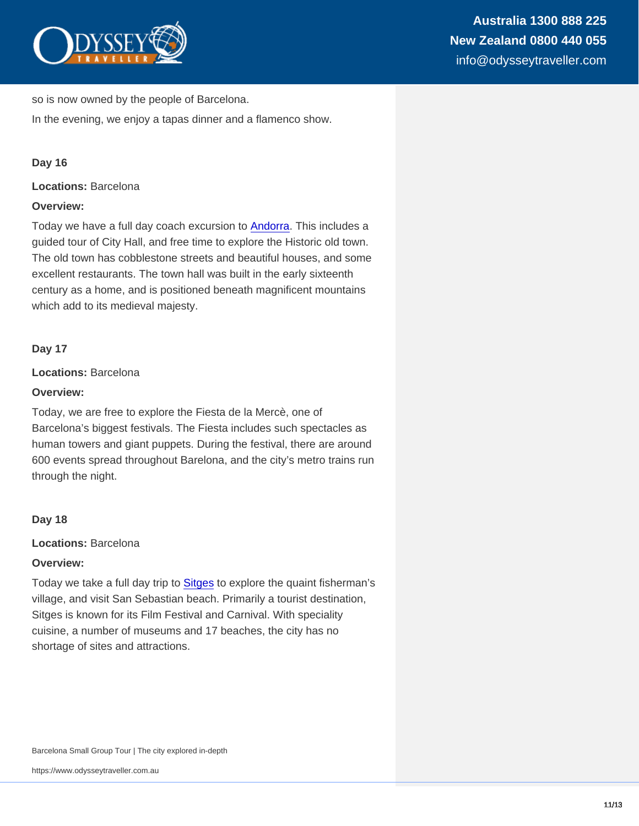so is now owned by the people of Barcelona.

In the evening, we enjoy a tapas dinner and a flamenco show.

#### Day 16

Locations: Barcelona

Overview:

Today we have a full day coach excursion to [Andorra](https://www.odysseytraveller.com/articles/andorra/). This includes a guided tour of City Hall, and free time to explore the Historic old town. The old town has cobblestone streets and beautiful houses, and some excellent restaurants. The town hall was built in the early sixteenth century as a home, and is positioned beneath magnificent mountains which add to its medieval majesty.

Day 17

Locations: Barcelona

Overview:

Today, we are free to explore the Fiesta de la Mercè, one of Barcelona's biggest festivals. The Fiesta includes such spectacles as human towers and giant puppets. During the festival, there are around 600 events spread throughout Barelona, and the city's metro trains run through the night.

Day 18

Locations: Barcelona

Overview:

Today we take a full day trip to [Sitges](https://www.odysseytraveller.com/articles/sitges-spain/) to explore the quaint fisherman's village, and visit San Sebastian beach. Primarily a tourist destination, Sitges is known for its Film Festival and Carnival. With speciality cuisine, a number of museums and 17 beaches, the city has no shortage of sites and attractions.

Barcelona Small Group Tour | The city explored in-depth

https://www.odysseytraveller.com.au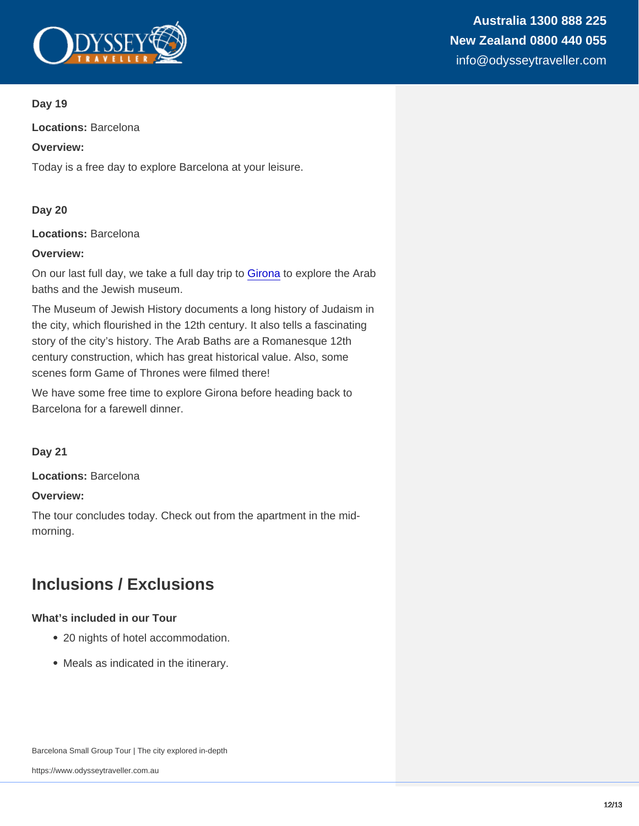Locations: Barcelona

Overview:

Today is a free day to explore Barcelona at your leisure.

Day 20

Locations: Barcelona

Overview:

On our last full day, we take a full day trip to [Girona](https://www.odysseytraveller.com/articles/girona-spain/) to explore the Arab baths and the Jewish museum.

The Museum of Jewish History documents a long history of Judaism in the city, which flourished in the 12th century. It also tells a fascinating story of the city's history. The Arab Baths are a Romanesque 12th century construction, which has great historical value. Also, some scenes form Game of Thrones were filmed there!

We have some free time to explore Girona before heading back to Barcelona for a farewell dinner.

Day 21

Locations: Barcelona

Overview:

The tour concludes today. Check out from the apartment in the midmorning.

## Inclusions / Exclusions

What's included in our Tour

- 20 nights of hotel accommodation.
- Meals as indicated in the itinerary.

Barcelona Small Group Tour | The city explored in-depth

https://www.odysseytraveller.com.au